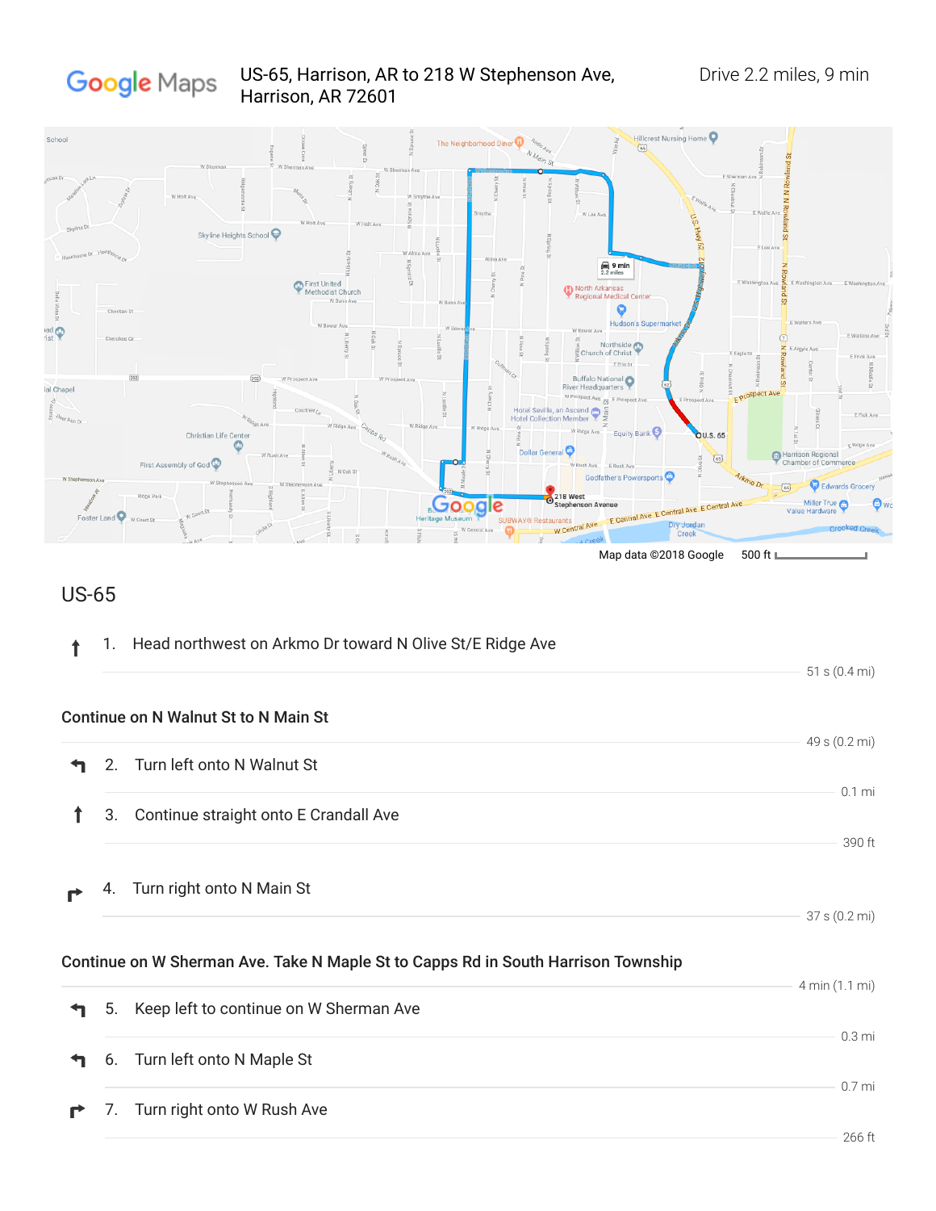

## US-65

| 1. | Head northwest on Arkmo Dr toward N Olive St/E Ridge Ave                          | 51 s $(0.4 \text{ mi})$                |
|----|-----------------------------------------------------------------------------------|----------------------------------------|
|    | Continue on N Walnut St to N Main St                                              |                                        |
| 2. | Turn left onto N Walnut St                                                        | 49 s (0.2 mi)                          |
| 3. | Continue straight onto E Crandall Ave                                             | $0.1$ mi<br>390 ft                     |
| 4. | Turn right onto N Main St                                                         | 37 s (0.2 mi)                          |
|    | Continue on W Sherman Ave. Take N Maple St to Capps Rd in South Harrison Township |                                        |
| 5. | Keep left to continue on W Sherman Ave                                            | 4 min (1.1 mi)                         |
| 6. | Turn left onto N Maple St                                                         | 0.3 <sub>mi</sub><br>0.7 <sub>mi</sub> |
|    |                                                                                   |                                        |

7. Turn right onto W Rush Ave  $\mathbf{r}$